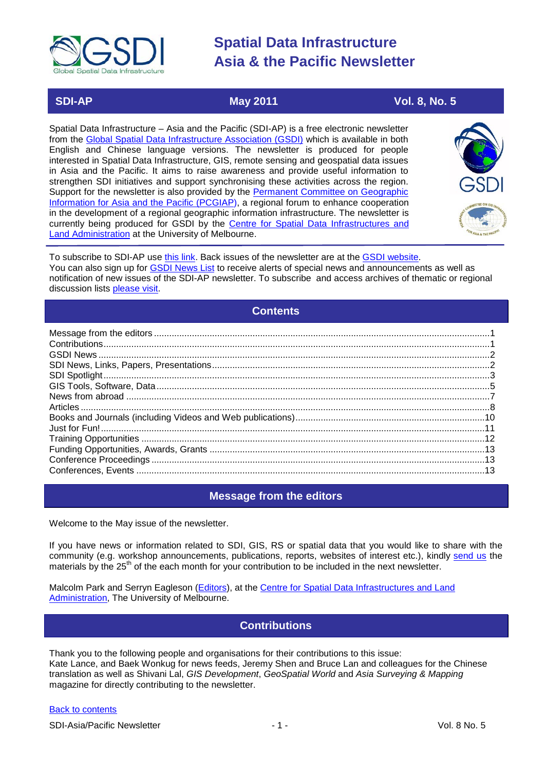

 **SDI-AP May 2011** May 2011 **Vol. 8, No. 5** 

Spatial Data Infrastructure – Asia and the Pacific (SDI-AP) is a free electronic newsletter from the [Global Spatial Data Infrastructure Association \(GSDI\)](http://www.gsdi.org/) which is available in both English and Chinese language versions. The newsletter is produced for people interested in Spatial Data Infrastructure, GIS, remote sensing and geospatial data issues in Asia and the Pacific. It aims to raise awareness and provide useful information to strengthen SDI initiatives and support synchronising these activities across the region. Support for the newsletter is also provided by the Permanent Committee on Geographic [Information for Asia and the Pacific \(PCGIAP\)](http://www.pcgiap.org/), a regional forum to enhance cooperation in the development of a regional geographic information infrastructure. The newsletter is currently being produced for GSDI by the [Centre for Spatial Data Infrastructures and](http://www.csdila.unimelb.edu.au/)  [Land Administration](http://www.csdila.unimelb.edu.au/) at the University of Melbourne.



To subscribe to SDI-AP use [this link.](http://www.gsdi.org/newslist/gsdisubscribe.asp) Back issues of the newsletter are at the [GSDI website.](http://www.gsdi.org/newsletters.asp) You can also sign up for **GSDI News List** to receive alerts of special news and announcements as well as notification of new issues of the SDI-AP newsletter. To subscribe and access archives of thematic or regional discussion lists [please visit.](http://www.gsdi.org/discussionlists.asp)

### **Contents**

<span id="page-0-0"></span>

### **Message from the editors**

<span id="page-0-1"></span>Welcome to the May issue of the newsletter.

If you have news or information related to SDI, GIS, RS or spatial data that you would like to share with the community (e.g. workshop announcements, publications, reports, websites of interest etc.), kindly [send us](mailto:.SDI-AP@gsdi.org) the materials by the 25<sup>th</sup> of the each month for your contribution to be included in the next newsletter.

<span id="page-0-2"></span>Malcolm Park and Serryn Eagleson [\(Editors\)](mailto:Editor.SDIAP@gmail.com), at the [Centre for Spatial Data Infrastructures and Land](http://www.csdila.unimelb.edu.au/)  [Administration,](http://www.csdila.unimelb.edu.au/) The University of Melbourne.

### **Contributions**

Thank you to the following people and organisations for their contributions to this issue: Kate Lance, and Baek Wonkug for news feeds, Jeremy Shen and Bruce Lan and colleagues for the Chinese translation as well as Shivani Lal, *GIS Development*, *GeoSpatial World* and *Asia Surveying & Mapping* magazine for directly contributing to the newsletter.

#### [Back to contents](#page-0-0)

SDI-Asia/Pacific Newsletter  $\overline{1}$  - 1 -  $\overline{2}$  - 1 -  $\overline{2}$  Vol. 8 No. 5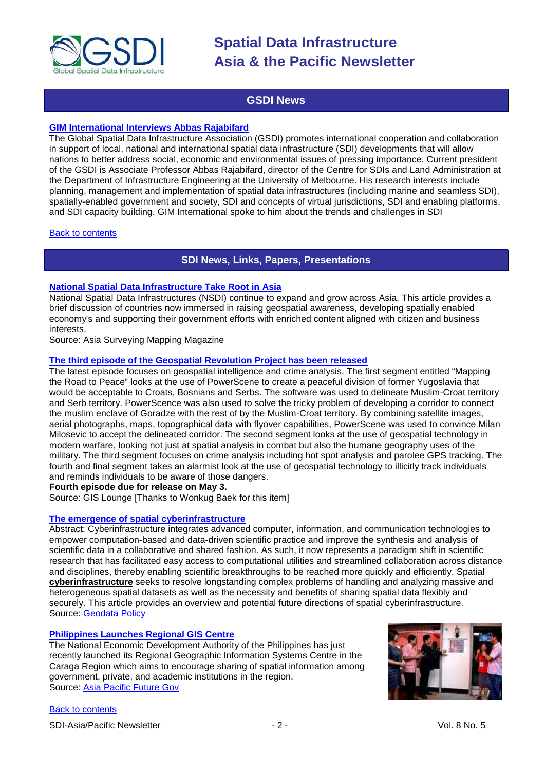

### **GSDI News**

#### <span id="page-1-0"></span>**[GIM International Interviews Abbas Rajabifard](http://www.gim-international.com/issues/articles/id1691-Driving_Global_Collaboration.html)**

The Global Spatial Data Infrastructure Association (GSDI) promotes international cooperation and collaboration in support of local, national and international spatial data infrastructure (SDI) developments that will allow nations to better address social, economic and environmental issues of pressing importance. Current president of the GSDI is Associate Professor Abbas Rajabifard, director of the Centre for SDIs and Land Administration at the Department of Infrastructure Engineering at the University of Melbourne. His research interests include planning, management and implementation of spatial data infrastructures (including marine and seamless SDI), spatially-enabled government and society, SDI and concepts of virtual jurisdictions, SDI and enabling platforms, and SDI capacity building. GIM International spoke to him about the trends and challenges in SDI

#### <span id="page-1-1"></span>**[Back to contents](#page-0-0)**

### **SDI News, Links, Papers, Presentations**

#### **[National Spatial Data Infrastructure Take Root in Asia](http://www.asmmag.com/features/feature/national-spatial-data-infrastructure-take-root-in-asia-28041208)**

National Spatial Data Infrastructures (NSDI) continue to expand and grow across Asia. This article provides a brief discussion of countries now immersed in raising geospatial awareness, developing spatially enabled economy's and supporting their government efforts with enriched content aligned with citizen and business interests.

Source: Asia Surveying Mapping Magazine

#### **[The third episode of the Geospatial Revolution Project has been released](http://geospatialrevolution.psu.edu/episode3/complete)**

The latest episode focuses on geospatial intelligence and crime analysis. The first segment entitled "Mapping the Road to Peace" looks at the use of PowerScene to create a peaceful division of former Yugoslavia that would be acceptable to Croats, Bosnians and Serbs. The software was used to delineate Muslim-Croat territory and Serb territory. PowerScence was also used to solve the tricky problem of developing a corridor to connect the muslim enclave of Goradze with the rest of by the Muslim-Croat territory. By combining satellite images, aerial photographs, maps, topographical data with flyover capabilities, PowerScene was used to convince Milan Milosevic to accept the delineated corridor. The second segment looks at the use of geospatial technology in modern warfare, looking not just at spatial analysis in combat but also the humane geography uses of the military. The third segment focuses on crime analysis including hot spot analysis and parolee GPS tracking. The fourth and final segment takes an alarmist look at the use of geospatial technology to illicitly track individuals and reminds individuals to be aware of those dangers.

#### **Fourth episode due for release on May 3.**

Source: GIS Lounge [Thanks to Wonkug Baek for this item]

#### **The emergence of spatial cyberinfrastructure**

Abstract: Cyberinfrastructure integrates advanced computer, information, and communication technologies to empower computation-based and data-driven scientific practice and improve the synthesis and analysis of scientific data in a collaborative and shared fashion. As such, it now represents a paradigm shift in scientific research that has facilitated easy access to computational utilities and streamlined collaboration across distance and disciplines, thereby enabling scientific breakthroughs to be reached more quickly and efficiently. Spatial **[cyberinfrastructure](http://en.wikipedia.org/wiki/Cyberinfrastructure)** seeks to resolve longstanding complex problems of handling and analyzing massive and heterogeneous spatial datasets as well as the necessity and benefits of sharing spatial data flexibly and securely. This article provides an overview and potential future directions of spatial cyberinfrastructure. Source: [Geodata Policy](http://geodatapolicy.wordpress.com/2011/04/07/the-emergence-of-spatial-cyberinfrastructure/)

#### **[Philippines Launches Regional GIS Centre](http://www.futuregov.asia/articles/2011/mar/30/philippines-launches-regional-gis-centre/)**

The National Economic Development Authority of the Philippines has just recently launched its Regional Geographic Information Systems Centre in the Caraga Region which aims to encourage sharing of spatial information among government, private, and academic institutions in the region. Source: [Asia Pacific Future Gov](http://www.futuregov.asia/articles/2011/mar/30/philippines-launches-regional-gis-centre/)

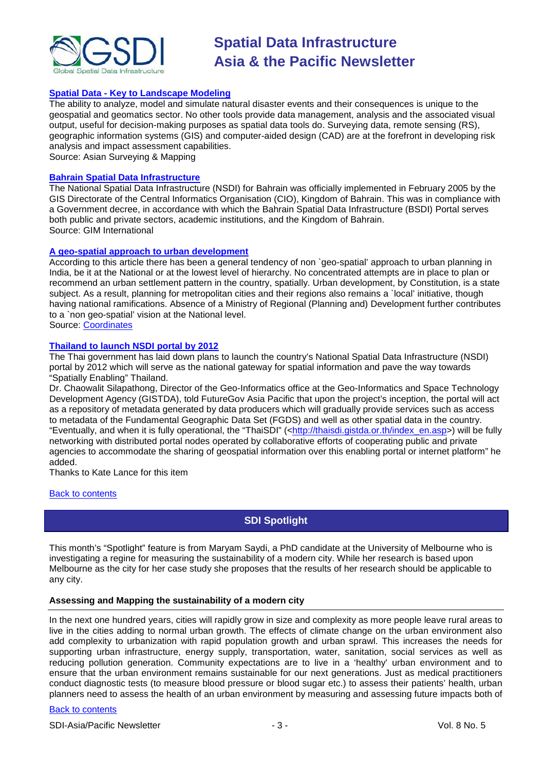

#### **Spatial Data - [Key to Landscape Modeling](http://www.asmmag.com/features/feature/spatial-data-key-to-landscape-modeling-19041159)**

The ability to analyze, model and simulate natural disaster events and their consequences is unique to the geospatial and geomatics sector. No other tools provide data management, analysis and the associated visual output, useful for decision-making purposes as spatial data tools do. Surveying data, remote sensing (RS), geographic information systems (GIS) and computer-aided design (CAD) are at the forefront in developing risk analysis and impact assessment capabilities.

Source: Asian Surveying & Mapping

#### **[Bahrain Spatial Data Infrastructure](http://www.gim-international.com/issues/articles/id1699-Bahrain_Spatial_Data_Infrastructure.html)**

The National Spatial Data Infrastructure (NSDI) for Bahrain was officially implemented in February 2005 by the GIS Directorate of the Central Informatics Organisation (CIO), Kingdom of Bahrain. This was in compliance with a Government decree, in accordance with which the Bahrain Spatial Data Infrastructure (BSDI) Portal serves both public and private sectors, academic institutions, and the Kingdom of Bahrain. Source: GIM International

#### **[A geo-spatial approach to urban development](http://mycoordinates.org/a-geo-spatial-approach-to-urban-development/2/)**

According to this article there has been a general tendency of non `geo-spatial' approach to urban planning in India, be it at the National or at the lowest level of hierarchy. No concentrated attempts are in place to plan or recommend an urban settlement pattern in the country, spatially. Urban development, by Constitution, is a state subject. As a result, planning for metropolitan cities and their regions also remains a `local' initiative, though having national ramifications. Absence of a Ministry of Regional (Planning and) Development further contributes to a `non geo-spatial' vision at the National level.

Source: [Coordinates](http://mycoordinates.org/a-geo-spatial-approach-to-urban-development/2/)

#### **[Thailand to launch NSDI portal by 2012](http://www.futuregov.asia/articles/2011/apr/27/thailand-launch-nsdi-portal-2012/)**

The Thai government has laid down plans to launch the country's National Spatial Data Infrastructure (NSDI) portal by 2012 which will serve as the national gateway for spatial information and pave the way towards "Spatially Enabling" Thailand.

Dr. Chaowalit Silapathong, Director of the Geo-Informatics office at the Geo-Informatics and Space Technology Development Agency (GISTDA), told FutureGov Asia Pacific that upon the project's inception, the portal will act as a repository of metadata generated by data producers which will gradually provide services such as access to metadata of the Fundamental Geographic Data Set (FGDS) and well as other spatial data in the country. "Eventually, and when it is fully operational, the "ThaiSDI" ([<http://thaisdi.gistda.or.th/index\\_en.asp>](http://thaisdi.gistda.or.th/index_en.asp)) will be fully networking with distributed portal nodes operated by collaborative efforts of cooperating public and private agencies to accommodate the sharing of geospatial information over this enabling portal or internet platform" he added.

Thanks to Kate Lance for this item

#### <span id="page-2-0"></span>**[Back to contents](#page-0-0)**

### **SDI Spotlight**

This month's "Spotlight" feature is from Maryam Saydi, a PhD candidate at the University of Melbourne who is investigating a regine for measuring the sustainability of a modern city. While her research is based upon Melbourne as the city for her case study she proposes that the results of her research should be applicable to any city.

#### **Assessing and Mapping the sustainability of a modern city**

In the next one hundred years, cities will rapidly grow in size and complexity as more people leave rural areas to live in the cities adding to normal urban growth. The effects of climate change on the urban environment also add complexity to urbanization with rapid population growth and urban sprawl. This increases the needs for supporting urban infrastructure, energy supply, transportation, water, sanitation, social services as well as reducing pollution generation. Community expectations are to live in a 'healthy' urban environment and to ensure that the urban environment remains sustainable for our next generations. Just as medical practitioners conduct diagnostic tests (to measure blood pressure or blood sugar etc.) to assess their patients' health, urban planners need to assess the health of an urban environment by measuring and assessing future impacts both of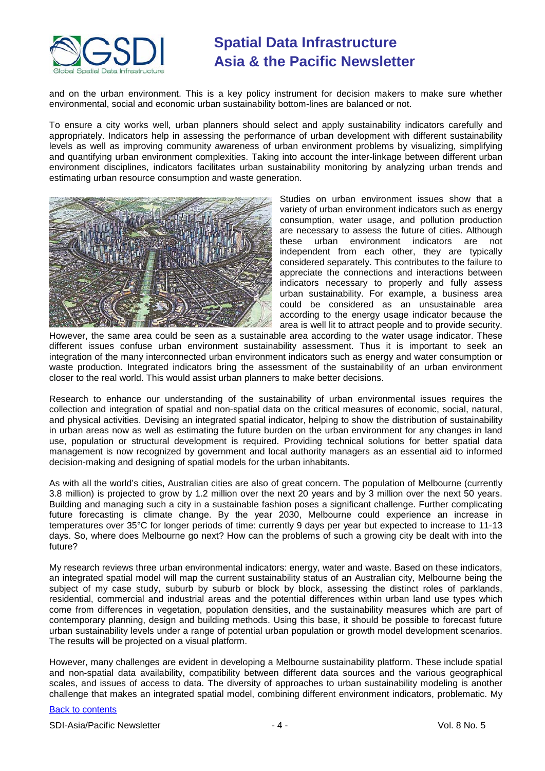

and on the urban environment. This is a key policy instrument for decision makers to make sure whether environmental, social and economic urban sustainability bottom-lines are balanced or not.

To ensure a city works well, urban planners should select and apply sustainability indicators carefully and appropriately. Indicators help in assessing the performance of urban development with different sustainability levels as well as improving community awareness of urban environment problems by visualizing, simplifying and quantifying urban environment complexities. Taking into account the inter-linkage between different urban environment disciplines, indicators facilitates urban sustainability monitoring by analyzing urban trends and estimating urban resource consumption and waste generation.



Studies on urban environment issues show that a variety of urban environment indicators such as energy consumption, water usage, and pollution production are necessary to assess the future of cities. Although these urban environment indicators are not independent from each other, they are typically considered separately. This contributes to the failure to appreciate the connections and interactions between indicators necessary to properly and fully assess urban sustainability. For example, a business area could be considered as an unsustainable area according to the energy usage indicator because the area is well lit to attract people and to provide security.

However, the same area could be seen as a sustainable area according to the water usage indicator. These different issues confuse urban environment sustainability assessment. Thus it is important to seek an integration of the many interconnected urban environment indicators such as energy and water consumption or waste production. Integrated indicators bring the assessment of the sustainability of an urban environment closer to the real world. This would assist urban planners to make better decisions.

Research to enhance our understanding of the sustainability of urban environmental issues requires the collection and integration of spatial and non-spatial data on the critical measures of economic, social, natural, and physical activities. Devising an integrated spatial indicator, helping to show the distribution of sustainability in urban areas now as well as estimating the future burden on the urban environment for any changes in land use, population or structural development is required. Providing technical solutions for better spatial data management is now recognized by government and local authority managers as an essential aid to informed decision-making and designing of spatial models for the urban inhabitants.

As with all the world's cities, Australian cities are also of great concern. The population of Melbourne (currently 3.8 million) is projected to grow by 1.2 million over the next 20 years and by 3 million over the next 50 years. Building and managing such a city in a sustainable fashion poses a significant challenge. Further complicating future forecasting is climate change. By the year 2030, Melbourne could experience an increase in temperatures over 35°C for longer periods of time: currently 9 days per year but expected to increase to 11-13 days. So, where does Melbourne go next? How can the problems of such a growing city be dealt with into the future?

My research reviews three urban environmental indicators: energy, water and waste. Based on these indicators, an integrated spatial model will map the current sustainability status of an Australian city, Melbourne being the subject of my case study, suburb by suburb or block by block, assessing the distinct roles of parklands, residential, commercial and industrial areas and the potential differences within urban land use types which come from differences in vegetation, population densities, and the sustainability measures which are part of contemporary planning, design and building methods. Using this base, it should be possible to forecast future urban sustainability levels under a range of potential urban population or growth model development scenarios. The results will be projected on a visual platform.

However, many challenges are evident in developing a Melbourne sustainability platform. These include spatial and non-spatial data availability, compatibility between different data sources and the various geographical scales, and issues of access to data. The diversity of approaches to urban sustainability modeling is another challenge that makes an integrated spatial model, combining different environment indicators, problematic. My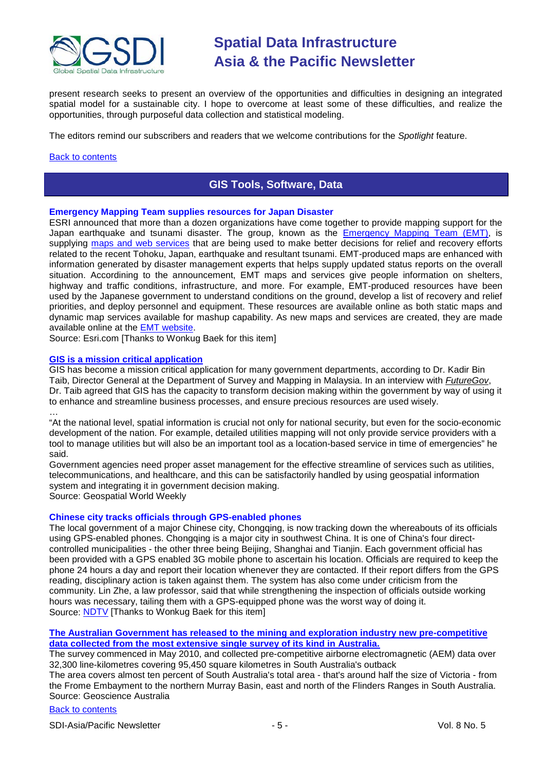

present research seeks to present an overview of the opportunities and difficulties in designing an integrated spatial model for a sustainable city. I hope to overcome at least some of these difficulties, and realize the opportunities, through purposeful data collection and statistical modeling.

The editors remind our subscribers and readers that we welcome contributions for the *Spotlight* feature.

#### <span id="page-4-0"></span>[Back to contents](#page-0-0)

### **GIS Tools, Software, Data**

#### **Emergency Mapping Team supplies resources for Japan Disaster**

ESRI announced that more than a dozen organizations have come together to provide mapping support for the Japan earthquake and tsunami disaster. The group, known as the **Emergency Mapping Team (EMT)**, is supplying [maps and web services](http://www.drs.dpri.kyoto-u.ac.jp/emt/) that are being used to make better decisions for relief and recovery efforts related to the recent Tohoku, Japan, earthquake and resultant tsunami. EMT-produced maps are enhanced with information generated by disaster management experts that helps supply updated status reports on the overall situation. Accordining to the announcement, EMT maps and services give people information on shelters, highway and traffic conditions, infrastructure, and more. For example, EMT-produced resources have been used by the Japanese government to understand conditions on the ground, develop a list of recovery and relief priorities, and deploy personnel and equipment. These resources are available online as both static maps and dynamic map services available for mashup capability. As new maps and services are created, they are made available online at the [EMT website.](http://www.drs.dpri.kyoto-u.ac.jp/emt/en/)

Source: Esri.com [Thanks to Wonkug Baek for this item]

#### **[GIS is a mission critical application](http://geospatialworld.net/index.php?option=com_content&view=article&id=21934%3Agis-is-a-mission-critical-application&catid=66%3Aapplication-miscellaneous&Itemid=1)**

GIS has become a mission critical application for many government departments, according to Dr. Kadir Bin Taib, Director General at the Department of Survey and Mapping in Malaysia. In an interview with *[FutureGov](http://www.futuregov.asia/articles/2011/mar/29/gis-enabled-decision-making-malaysias-government-a/)*, Dr. Taib agreed that GIS has the capacity to transform decision making within the government by way of using it to enhance and streamline business processes, and ensure precious resources are used wisely.

… "At the national level, spatial information is crucial not only for national security, but even for the socio-economic development of the nation. For example, detailed utilities mapping will not only provide service providers with a tool to manage utilities but will also be an important tool as a location-based service in time of emergencies" he said.

Government agencies need proper asset management for the effective streamline of services such as utilities, telecommunications, and healthcare, and this can be satisfactorily handled by using geospatial information system and integrating it in government decision making.

Source: Geospatial World Weekly

#### **Chinese city tracks officials through GPS-enabled phones**

The local government of a major Chinese city, Chongqing, is now tracking down the whereabouts of its officials using GPS-enabled phones. Chongqing is a major city in southwest China. It is one of China's four directcontrolled municipalities - the other three being Beijing, Shanghai and Tianjin. Each government official has been provided with a GPS enabled 3G mobile phone to ascertain his location. Officials are required to keep the phone 24 hours a day and report their location whenever they are contacted. If their report differs from the GPS reading, disciplinary action is taken against them. The system has also come under criticism from the community. Lin Zhe, a law professor, said that while strengthening the inspection of officials outside working hours was necessary, tailing them with a GPS-equipped phone was the worst way of doing it. Source: [NDTV](http://www.ndtv.com/article/world/chinese-city-tracks-officials-through-gps-enabled-phones-98061?cp) [Thanks to Wonkug Baek for this item]

#### **[The Australian Government has released to the mining and exploration industry new pre-competitive](http://www.ga.gov.au/about-us/news-media/media/releases/2011/05042011_frome.jsp)  [data collected from the most extensive single survey of its kind in Australia.](http://www.ga.gov.au/about-us/news-media/media/releases/2011/05042011_frome.jsp)**

The survey commenced in May 2010, and collected pre-competitive airborne electromagnetic (AEM) data over 32,300 line-kilometres covering 95,450 square kilometres in South Australia's outback

The area covers almost ten percent of South Australia's total area - that's around half the size of Victoria - from the Frome Embayment to the northern Murray Basin, east and north of the Flinders Ranges in South Australia. Source: Geoscience Australia

#### [Back to contents](#page-0-0)

SDI-Asia/Pacific Newsletter  $\sim$  5 - Section 1.5 - Vol. 8 No. 5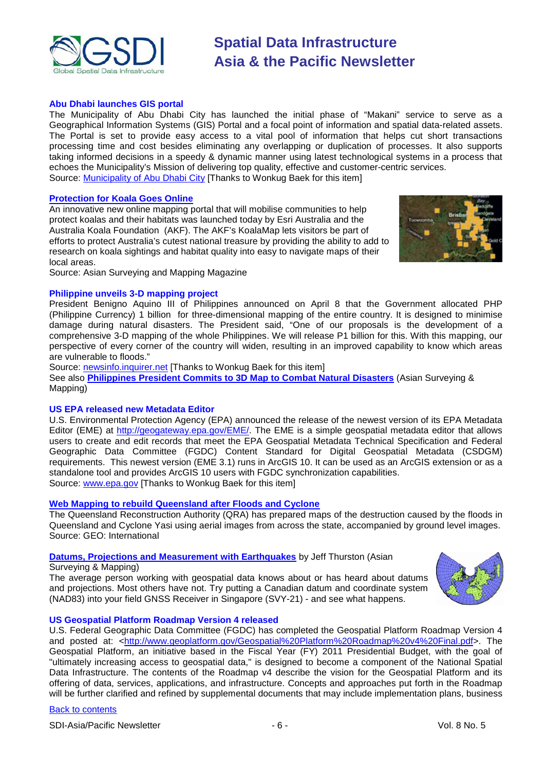

#### **Abu Dhabi launches GIS portal**

The Municipality of Abu Dhabi City has launched the initial phase of "Makani" service to serve as a Geographical Information Systems (GIS) Portal and a focal point of information and spatial data-related assets. The Portal is set to provide easy access to a vital pool of information that helps cut short transactions processing time and cost besides eliminating any overlapping or duplication of processes. It also supports taking informed decisions in a speedy & dynamic manner using latest technological systems in a process that echoes the Municipality's Mission of delivering top quality, effective and customer-centric services. Source: [Municipality of Abu Dhabi City](http://www.adm.gov.ae/en/News/desc.aspx?NID=347&div=Cat&mnu=Cat&MenuID=62&CatID=85) [Thanks to Wonkug Baek for this item]

#### **[Protection for Koala Goes Online](http://www.asmmag.com/features/feature/protection-for-koala-goes-online-01041002)**

An innovative new online mapping portal that will mobilise communities to help protect koalas and their habitats was launched today by Esri Australia and the Australia Koala Foundation (AKF). The AKF's KoalaMap lets visitors be part of efforts to protect Australia's cutest national treasure by providing the ability to add to research on koala sightings and habitat quality into easy to navigate maps of their local areas.



Source: Asian Surveying and Mapping Magazine

#### **Philippine unveils 3-D mapping project**

President Benigno Aquino III of Philippines announced on April 8 that the Government allocated PHP (Philippine Currency) 1 billion for three-dimensional mapping of the entire country. It is designed to minimise damage during natural disasters. The President said, "One of our proposals is the development of a comprehensive 3-D mapping of the whole Philippines. We will release P1 billion for this. With this mapping, our perspective of every corner of the country will widen, resulting in an improved capability to know which areas are vulnerable to floods."

Source: [newsinfo.inquirer.net](http://newsinfo.inquirer.net/breakingnews/nation/view/20110408-330056/Aquino-unveils-3-D-mapping-project) [Thanks to Wonkug Baek for this item]

See also **[Philippines President Commits to 3D Map to Combat Natural Disasters](http://www.asmmag.com/features/feature/philippines-president-commits-to-3d-map-to-combat-natural-disasters-20041137)** (Asian Surveying & Mapping)

#### **US EPA released new Metadata Editor**

U.S. Environmental Protection Agency (EPA) announced the release of the newest version of its EPA Metadata Editor (EME) at [http://geogateway.epa.gov/EME/.](http://geogateway.epa.gov/EME/) The EME is a simple geospatial metadata editor that allows users to create and edit records that meet the EPA Geospatial Metadata Technical Specification and Federal Geographic Data Committee (FGDC) Content Standard for Digital Geospatial Metadata (CSDGM) requirements. This newest version (EME 3.1) runs in ArcGIS 10. It can be used as an ArcGIS extension or as a standalone tool and provides ArcGIS 10 users with FGDC synchronization capabilities. Source: [www.epa.gov](http://www.epa.gov/) [Thanks to Wonkug Baek for this item]

#### **[Web Mapping to rebuild Queensland after Floods and Cyclone](http://www.geoconnexion.com/uploads/webmappingqueensland_intv10i4.pdf)**

The Queensland Reconstruction Authority (QRA) has prepared maps of the destruction caused by the floods in Queensland and Cyclone Yasi using aerial images from across the state, accompanied by ground level images. Source: GEO: International

#### **[Datums, Projections and Measurement with Earthquakes](http://www.asmmag.com/features/feature/datums-projections-and-measurement-with-earthquakes-08041053)** by Jeff Thurston (Asian

Surveying & Mapping)

The average person working with geospatial data knows about or has heard about datums and projections. Most others have not. Try putting a Canadian datum and coordinate system (NAD83) into your field GNSS Receiver in Singapore (SVY-21) - and see what happens.



#### **US Geospatial Platform Roadmap Version 4 released**

U.S. Federal Geographic Data Committee (FGDC) has completed the Geospatial Platform Roadmap Version 4 and posted at: [<http://www.geoplatform.gov/Geospatial%20Platform%20Roadmap%20v4%20Final.pdf>](http://www.geoplatform.gov/Geospatial%20Platform%20Roadmap%20v4%20Final.pdf). The Geospatial Platform, an initiative based in the Fiscal Year (FY) 2011 Presidential Budget, with the goal of "ultimately increasing access to geospatial data," is designed to become a component of the National Spatial Data Infrastructure. The contents of the Roadmap v4 describe the vision for the Geospatial Platform and its offering of data, services, applications, and infrastructure. Concepts and approaches put forth in the Roadmap will be further clarified and refined by supplemental documents that may include implementation plans, business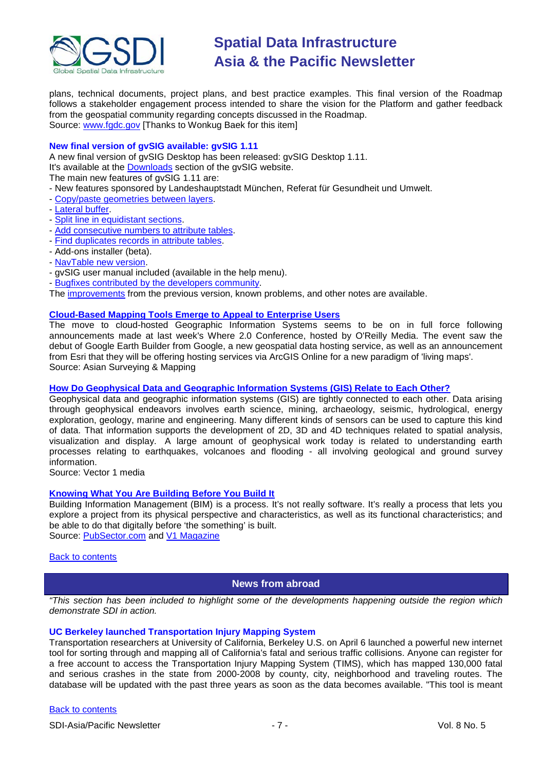

plans, technical documents, project plans, and best practice examples. This final version of the Roadmap follows a stakeholder engagement process intended to share the vision for the Platform and gather feedback from the geospatial community regarding concepts discussed in the Roadmap. Source: [www.fgdc.gov](http://www.fgdc.gov/) [Thanks to Wonkug Baek for this item]

#### **New final version of gvSIG available: gvSIG 1.11**

A new final version of gvSIG Desktop has been released: gvSIG Desktop 1.11.

It's available at the [Downloads](http://www.gvsig.org/web/projects/gvsig-desktop/official/gvsig-1.11/downloads) section of the gvSIG website.

The main new features of gvSIG 1.11 are:

- New features sponsored by Landeshauptstadt München, Referat für Gesundheit und Umwelt.
- [Copy/paste geometries between layers.](http://www.gvsig.org/web/projects/contrib/copy-paste-geometry)
- [Lateral buffer.](http://www.gvsig.org/web/projects/contrib/lateral-buffer-and-split-line-geoprocess)
- [Split line in equidistant sections.](http://www.gvsig.org/web/projects/contrib/lateral-buffer-and-split-line-geoprocess)
- [Add consecutive numbers to attribute tables.](http://www.gvsig.org/web/projects/contrib/add-consecutive-number-to-table)
- [Find duplicates records in attribute tables.](http://www.gvsig.org/web/projects/contrib/select-duplicated-rows-in-table)
- Add-ons installer (beta).
- [NavTable new version.](http://www.gvsig.org/web/projects/contrib/navtable)
- gvSIG user manual included (available in the help menu).
- [Bugfixes contributed by the developers community.](http://www.gvsig.org/web/projects/gvsig-desktop/official/gvsig-1.11/notas-de-version/improvements)

The [improvements](http://www.gvsig.org/web/projects/gvsig-desktop/official/gvsig-1.11/notas-de-version/) from the previous version, known problems, and other notes are available.

#### **[Cloud-Based Mapping Tools Emerge to Appeal to Enterprise Users](http://www.asmmag.com/features/feature/cloud-based-mapping-tools-emerge-to-appeal-to-enterprise-users-28041196)**

The move to cloud-hosted Geographic Information Systems seems to be on in full force following announcements made at last week's Where 2.0 Conference, hosted by O'Reilly Media. The event saw the debut of Google Earth Builder from Google, a new geospatial data hosting service, as well as an announcement from Esri that they will be offering hosting services via ArcGIS Online for a new paradigm of 'living maps'. Source: Asian Surveying & Mapping

#### **[How Do Geophysical Data and Geographic Information Systems \(GIS\) Relate to Each Other?](http://www.vector1media.com/dialog/perspectives/19993-how-do-geophysical-data-and-geographic-information-systems-gis-relate-to-each-other.html)**

Geophysical data and geographic information systems (GIS) are tightly connected to each other. Data arising through geophysical endeavors involves earth science, mining, archaeology, seismic, hydrological, energy exploration, geology, marine and engineering. Many different kinds of sensors can be used to capture this kind of data. That information supports the development of 2D, 3D and 4D techniques related to spatial analysis, visualization and display. A large amount of geophysical work today is related to understanding earth processes relating to earthquakes, volcanoes and flooding - all involving geological and ground survey information.

Source: Vector 1 media

#### **[Knowing What You Are Building Before You Build It](http://pubsector.com/OnTheFrontLines/Email/AutodeskSchlosser.lsp)**

Building Information Management (BIM) is a process. It's not really software. It's really a process that lets you explore a project from its physical perspective and characteristics, as well as its functional characteristics; and be able to do that digitally before 'the something' is built.

Source: [PubSector.com](http://pubsector.com/) and [V1 Magazine](http://www.vector1media.com/news/headlines/20009-knowing-what-you-are-building-before-you-build-it.html)

#### <span id="page-6-0"></span>[Back to contents](#page-0-0)

#### **News from abroad**

*"This section has been included to highlight some of the developments happening outside the region which demonstrate SDI in action.*

#### **UC Berkeley launched Transportation Injury Mapping System**

Transportation researchers at University of California, Berkeley U.S. on April 6 launched a powerful new internet tool for sorting through and mapping all of California's fatal and serious traffic collisions. Anyone can register for a free account to access the Transportation Injury Mapping System (TIMS), which has mapped 130,000 fatal and serious crashes in the state from 2000-2008 by county, city, neighborhood and traveling routes. The database will be updated with the past three years as soon as the data becomes available. "This tool is meant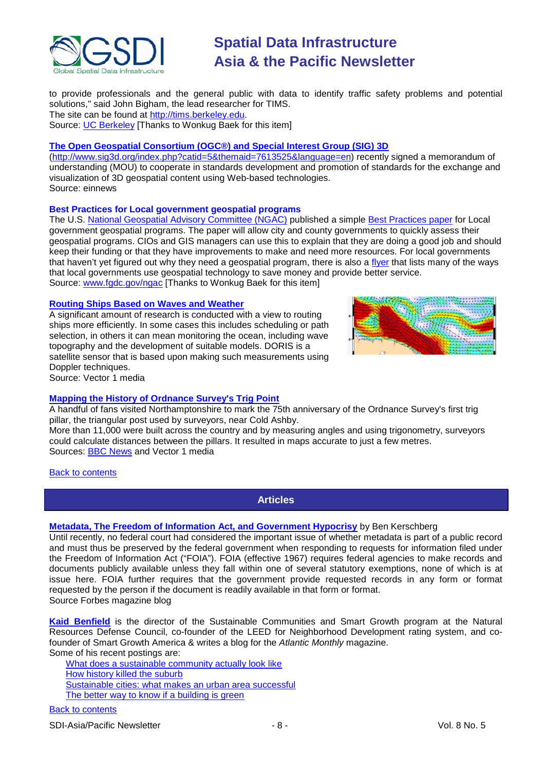

to provide professionals and the general public with data to identify traffic safety problems and potential solutions," said John Bigham, the lead researcher for TIMS. The site can be found at [http://tims.berkeley.edu.](http://tims.berkeley.edu/)

Source: [UC Berkeley](http://newscenter.berkeley.edu/2011/04/06/tims-california-traffic-collisions/) [Thanks to Wonkug Baek for this item]

### **[The Open Geospatial Consortium \(OGC®\) and Special Interest Group \(SIG\) 3D](http://www.einnews.com/pr-news/376880-ogc-and-sig-3d-advance-standards-for-3d-digital-cities-)**

[\(http://www.sig3d.org/index.php?catid=5&themaid=7613525&language=en\)](http://www.sig3d.org/index.php?catid=5&themaid=7613525&language=en) recently signed a memorandum of understanding (MOU) to cooperate in standards development and promotion of standards for the exchange and visualization of 3D geospatial content using Web-based technologies. Source: einnews

#### **Best Practices for Local government geospatial programs**

The U.S. [National Geospatial Advisory Committee \(NGAC\)](http://www.fgdc.gov/ngac) published a simple [Best Practices paper](http://www.fgdc.gov/ngac/meetings/march-2011/ngac-local-gov-gis-best-practices-paper.pdf) for Local government geospatial programs. The paper will allow city and county governments to quickly assess their geospatial programs. CIOs and GIS managers can use this to explain that they are doing a good job and should keep their funding or that they have improvements to make and need more resources. For local governments that haven't yet figured out why they need a geospatial program, there is also a [flyer](http://www.fgdc.gov/ngac/meetings/march-2011/ngac-local-gov-gis-best-practices-flyer.pdf) that lists many of the ways that local governments use geospatial technology to save money and provide better service. Source: [www.fgdc.gov/ngac](http://www.fgdc.gov/ngac) [Thanks to Wonkug Baek for this item]

#### **[Routing Ships Based on Waves and Weather](http://www.vector1media.com/vectorone/?p=7997)**

A significant amount of research is conducted with a view to routing ships more efficiently. In some cases this includes scheduling or path selection, in others it can mean monitoring the ocean, including wave topography and the development of suitable models. [DORIS](http://www.aviso.oceanobs.com/en/doris/index.html?tx_a21glossary%5Buid%5D=157&tx_a21glossary%5Bback%5D=1195&cHash=07a6605521) is a satellite sensor that is based upon making such measurements using Doppler techniques. Source: Vector 1 media



#### **[Mapping the History of Ordnance Survey's Trig Point](http://www.vector1media.com/resources/toolbox/19803-mapping-the-history-of-ordnance-surveys-trig-point.html)**

A handful of fans visited Northamptonshire to mark the 75th anniversary of the Ordnance Survey's first trig pillar, the triangular post used by surveyors, near Cold Ashby.

More than 11,000 were built across the country and by measuring angles and using trigonometry, surveyors could calculate distances between the pillars. It resulted in maps accurate to just a few metres. Sources: [BBC News](http://www.bbc.co.uk/news/uk-england-northamptonshire-13130526) and Vector 1 media

#### <span id="page-7-0"></span>[Back to contents](#page-0-0)

**Articles**

#### **[Metadata, The Freedom of Information Act, and Government Hypocrisy](http://blogs.forbes.com/benkerschberg/2011/04/11/metadata-the-freedom-of-information-act-and-government-hypocrisy/)** by [Ben Kerschberg](http://blogs.forbes.com/benkerschberg/)

Until recently, no federal court had considered the important issue of whether metadata is part of a public record and must thus be preserved by the federal government when responding to requests for information filed under the Freedom of Information Act ("FOIA"). FOIA (effective 1967) requires federal agencies to make records and documents publicly available unless they fall within one of several statutory exemptions, none of which is at issue here. FOIA further requires that the government provide requested records in any form or format requested by the person if the document is readily available in that form or format. Source Forbes magazine blog

**[Kaid Benfield](http://www.theatlantic.com/kaid-benfield)** is the director of the Sustainable Communities and Smart Growth program at the Natural Resources Defense Council, co-founder of the LEED for Neighborhood Development rating system, and cofounder of Smart Growth America & writes a blog for the *Atlantic Monthly* magazine. Some of his recent postings are:

[What does a sustainable community actually look like](http://www.theatlantic.com/life/archive/2011/03/what-does-a-sustainable-community-actually-look-like/72376/) [How history killed the suburb](http://www.theatlantic.com/life/archive/2011/04/how-history-killed-the-suburb/237815/) [Sustainable cities: what makes an urban area successful](http://www.theatlantic.com/life/archive/2011/04/sustainable-cities-what-makes-an-urban-area-successful/237668/) [The better way to know if a building is green](http://www.theatlantic.com/life/archive/2011/03/the-better-way-to-know-if-a-building-is-green/73167/)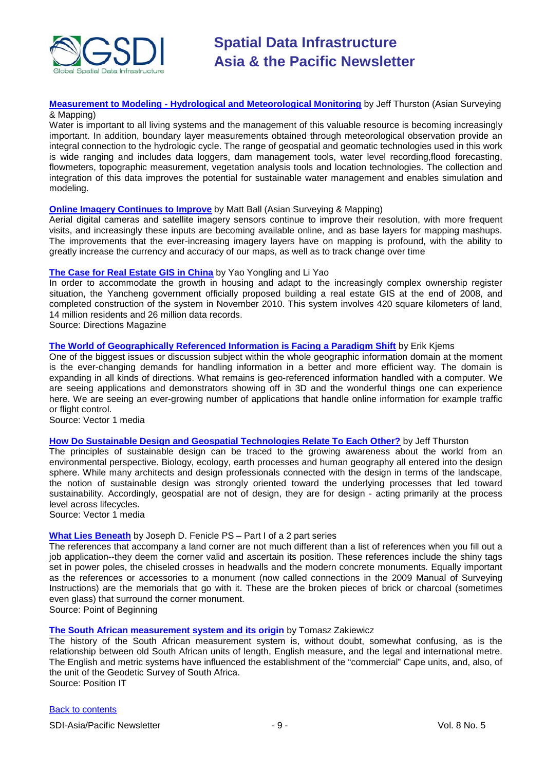

**Measurement to Modeling - [Hydrological and Meteorological Monitoring](http://www.asmmag.com/features/feature/measurement-to-modeling-hydrological-and-meteorological-monitoring-15041112)** by Jeff Thurston (Asian Surveying & Mapping)

Water is important to all living systems and the management of this valuable resource is becoming increasingly important. In addition, boundary layer measurements obtained through meteorological observation provide an integral connection to the hydrologic cycle. The range of geospatial and geomatic technologies used in this work is wide ranging and includes data loggers, dam management tools, water level recording,flood forecasting, flowmeters, topographic measurement, vegetation analysis tools and location technologies. The collection and integration of this data improves the potential for sustainable water management and enables simulation and modeling.

#### **[Online Imagery Continues to Improve](http://www.asmmag.com/features/feature/online-imagery-continues-to-improve-15041107)** by Matt Ball (Asian Surveying & Mapping)

Aerial digital cameras and satellite imagery sensors continue to improve their resolution, with more frequent visits, and increasingly these inputs are becoming available online, and as base layers for mapping mashups. The improvements that the ever-increasing imagery layers have on mapping is profound, with the ability to greatly increase the currency and accuracy of our maps, as well as to track change over time

#### **[The Case for Real Estate GIS in China](http://www.directionsmag.com/articles/the-case-for-real-estate-gis-in-china/170371)** by Yao Yongling and Li Yao

In order to accommodate the growth in housing and adapt to the increasingly complex ownership register situation, the Yancheng government officially proposed building a real estate GIS at the end of 2008, and completed construction of the system in November 2010. This system involves 420 square kilometers of land, 14 million residents and 26 million data records.

Source: Directions Magazine

#### **[The World of Geographically Referenced Information is Facing a Paradigm Shift](http://www.vector1media.com/article/features/19186-the-world-of-geographically-referenced-information-is-facing-a-paradigm-shift.html)** by Erik Kjems

One of the biggest issues or discussion subject within the whole geographic information domain at the moment is the ever-changing demands for handling information in a better and more efficient way. The domain is expanding in all kinds of directions. What remains is geo-referenced information handled with a computer. We are seeing applications and demonstrators showing off in 3D and the wonderful things one can experience here. We are seeing an ever-growing number of applications that handle online information for example traffic or flight control.

Source: Vector 1 media

### **[How Do Sustainable Design and Geospatial Technologies Relate To Each Other?](http://www.vector1media.com/dialog/perspectives/19477-how-do-sustainable-design-and-geospatial-technologies-relate-to-each-other.html)** by Jeff Thurston

The principles of sustainable design can be traced to the growing awareness about the world from an environmental perspective. Biology, ecology, earth processes and human geography all entered into the design sphere. While many architects and design professionals connected with the design in terms of the landscape, the notion of sustainable design was strongly oriented toward the underlying processes that led toward sustainability. Accordingly, geospatial are not of design, they are for design - acting primarily at the process level across lifecycles.

Source: Vector 1 media

#### **[What Lies Beneath](http://www.pobonline.com/Articles/Features/BNP_GUID_9-5-2006_A_10000000000001020865)** by Joseph D. Fenicle PS – Part I of a 2 part series

The references that accompany a land corner are not much different than a list of references when you fill out a job application--they deem the corner valid and ascertain its position. These references include the shiny tags set in power poles, the chiseled crosses in headwalls and the modern concrete monuments. Equally important as the references or accessories to a monument (now called connections in the 2009 Manual of Surveying Instructions) are the memorials that go with it. These are the broken pieces of brick or charcoal (sometimes even glass) that surround the corner monument.

Source: Point of Beginning

#### **[The South African measurement system and its origin](http://www.eepublishers.co.za/images/upload/PostionIT%202011/PositionIT_April_May_2011___SurvT_The%20SA.pdf)** by Tomasz Zakiewicz

The history of the South African measurement system is, without doubt, somewhat confusing, as is the relationship between old South African units of length, English measure, and the legal and international metre. The English and metric systems have influenced the establishment of the "commercial" Cape units, and, also, of the unit of the Geodetic Survey of South Africa. Source: Position IT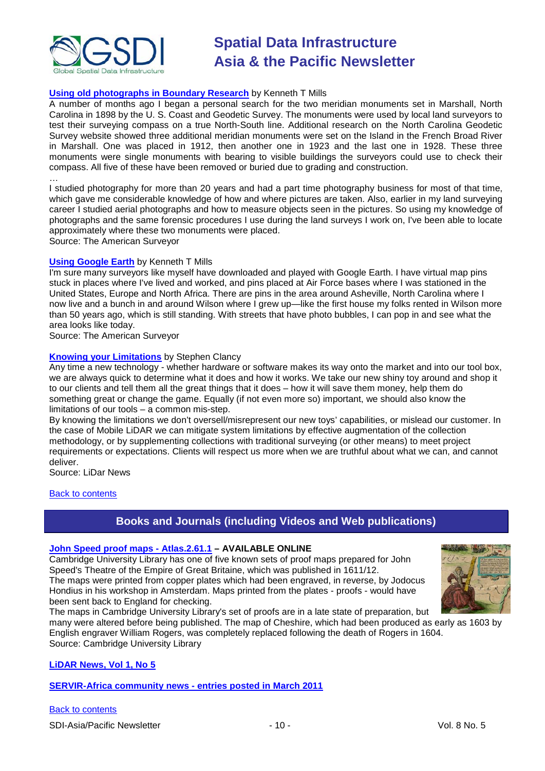

### **[Using old photographs in Boundary Research](http://www.amerisurv.com/content/view/8591/153/)** by Kenneth T Mills

A number of months ago I began a personal search for the two meridian monuments set in Marshall, North Carolina in 1898 by the U. S. Coast and Geodetic Survey. The monuments were used by local land surveyors to test their surveying compass on a true North-South line. Additional research on the North Carolina Geodetic Survey website showed three additional meridian monuments were set on the Island in the French Broad River in Marshall. One was placed in 1912, then another one in 1923 and the last one in 1928. These three monuments were single monuments with bearing to visible buildings the surveyors could use to check their compass. All five of these have been removed or buried due to grading and construction.

…

I studied photography for more than 20 years and had a part time photography business for most of that time, which gave me considerable knowledge of how and where pictures are taken. Also, earlier in my land surveying career I studied aerial photographs and how to measure objects seen in the pictures. So using my knowledge of photographs and the same forensic procedures I use during the land surveys I work on, I've been able to locate approximately where these two monuments were placed. Source: The American Surveyor

#### **[Using Google Earth](http://www.amerisurv.com/content/view/8438/153/)** by Kenneth T Mills

I'm sure many surveyors like myself have downloaded and played with Google Earth. I have virtual map pins stuck in places where I've lived and worked, and pins placed at Air Force bases where I was stationed in the United States, Europe and North Africa. There are pins in the area around Asheville, North Carolina where I now live and a bunch in and around Wilson where I grew up—like the first house my folks rented in Wilson more than 50 years ago, which is still standing. With streets that have photo bubbles, I can pop in and see what the area looks like today.

Source: The American Surveyor

#### **[Knowing your Limitations](http://www.lidarnews.com/content/view/8329/136)** by Stephen Clancy

Any time a new technology - whether hardware or software makes its way onto the market and into our tool box, we are always quick to determine what it does and how it works. We take our new shiny toy around and shop it to our clients and tell them all the great things that it does – how it will save them money, help them do something great or change the game. Equally (if not even more so) important, we should also know the limitations of our tools – a common mis-step.

By knowing the limitations we don't oversell/misrepresent our new toys' capabilities, or mislead our customer. In the case of Mobile LiDAR we can mitigate system limitations by effective augmentation of the collection methodology, or by supplementing collections with traditional surveying (or other means) to meet project requirements or expectations. Clients will respect us more when we are truthful about what we can, and cannot deliver.

Source: LiDar News

#### <span id="page-9-0"></span>**[Back to contents](#page-0-0)**

### **Books and Journals (including Videos and Web publications)**

#### **[John Speed proof maps -](http://www.lib.cam.ac.uk/deptserv/maps/speed.html) Atlas.2.61.1 – AVAILABLE ONLINE**

Cambridge University Library has one of five known sets of proof maps prepared for John Speed's Theatre of the Empire of Great Britaine, which was published in 1611/12. The maps were printed from copper plates which had been engraved, in reverse, by Jodocus Hondius in his workshop in Amsterdam. Maps printed from the plates - proofs - would have



been sent back to England for checking. The maps in Cambridge University Library's set of proofs are in a late state of preparation, but

many were altered before being published. The map of Cheshire, which had been produced as early as 1603 by English engraver William Rogers, was completely replaced following the death of Rogers in 1604. Source: Cambridge University Library

#### **[LiDAR News, Vol 1, No 5](http://www.lidarnews.com/newsletter/Vol1No5.htm)**

**[SERVIR-Africa community news -](http://www.servir.net/africa/index.php?option=com_mamblog&Itemid=54&task=show&action=all&id=0&ignorecount=1) entries posted in March 2011**

[Back to contents](#page-0-0)

SDI-Asia/Pacific Newsletter  $\sim$  10 - 10 - Vol. 8 No. 5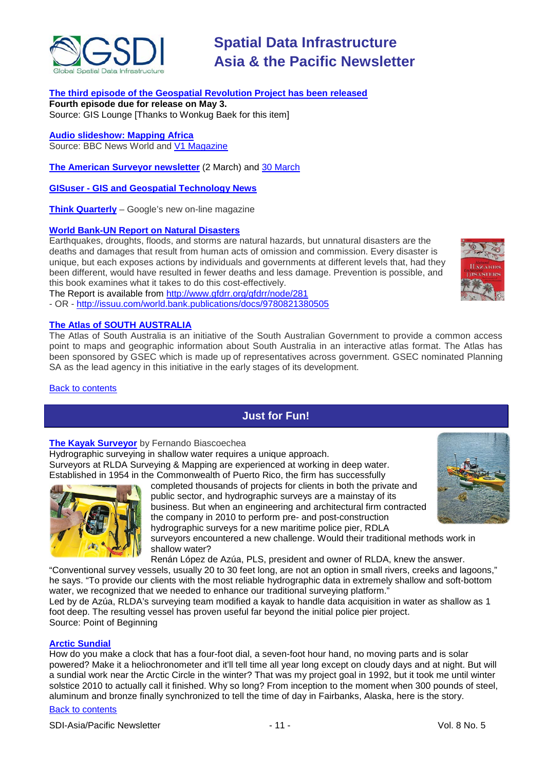

#### **[The third episode of the Geospatial Revolution Project has been released](http://geospatialrevolution.psu.edu/episode3/complete)**

**Fourth episode due for release on May 3.** Source: GIS Lounge [Thanks to Wonkug Baek for this item]

**[Audio slideshow: Mapping Africa](http://www.bbc.co.uk/news/world-12675464)** Source: BBC News World and [V1 Magazine](http://www.vector1media.com/news/headlines/19073-audio-slideshow-mapping-africa.html)

**[The American Surveyor newsletter](http://www.amerisurv.com/newsletter/02MAR2011.htm)** (2 March) and [30 March](http://www.amerisurv.com/newsletter/30MAR2011.htm)

**GISuser - [GIS and Geospatial Technology News](http://www.gisuser.com/)**

**[Think Quarterly](http://thinkquarterly.co.uk/#aboutthebook)** – Google's new on-line magazine

#### **[World Bank-UN Report on Natural Disasters](http://go.worldbank.org/MTEU5526E0)**

Earthquakes, droughts, floods, and storms are natural hazards, but unnatural disasters are the deaths and damages that result from human acts of omission and commission. Every disaster is unique, but each exposes actions by individuals and governments at different levels that, had they been different, would have resulted in fewer deaths and less damage. Prevention is possible, and this book examines what it takes to do this cost-effectively.

The Report is available from<http://www.gfdrr.org/gfdrr/node/281>

- OR - <http://issuu.com/world.bank.publications/docs/9780821380505>

#### <span id="page-10-0"></span>**[The Atlas of SOUTH AUSTRALIA](http://www.atlas.sa.gov.au/go/home)**

The Atlas of South Australia is an initiative of the South Australian Government to provide a common access point to maps and geographic information about South Australia in an interactive atlas format. The Atlas has been sponsored by GSEC which is made up of representatives across government. GSEC nominated [Planning](http://www.atlas.sa.gov.au/index.cfm?objectId=42A31606-1034-5339-FA19595F5CA577EF)  [SA](http://www.atlas.sa.gov.au/index.cfm?objectId=42A31606-1034-5339-FA19595F5CA577EF) as the lead agency in this initiative in the early stages of its development.

[Back to contents](#page-0-0)

### **Just for Fun!**

#### **[The Kayak Surveyor](http://www.pobonline.com/Articles/Cover_Story/BNP_GUID_9-5-2006_A_10000000000001020803)** by Fernando Biascoechea

Hydrographic surveying in shallow water requires a unique approach. Surveyors at RLDA Surveying & Mapping are experienced at working in deep water. Established in 1954 in the Commonwealth of Puerto Rico, the firm has successfully



completed thousands of projects for clients in both the private and public sector, and hydrographic surveys are a mainstay of its business. But when an engineering and architectural firm contracted the company in 2010 to perform pre- and post-construction hydrographic surveys for a new maritime police pier, RDLA



**MSASTERS** 

surveyors encountered a new challenge. Would their traditional methods work in shallow water?

Renán López de Azúa, PLS, president and owner of RLDA, knew the answer.

"Conventional survey vessels, usually 20 to 30 feet long, are not an option in small rivers, creeks and lagoons," he says. "To provide our clients with the most reliable hydrographic data in extremely shallow and soft-bottom water, we recognized that we needed to enhance our traditional surveying platform."

Led by de Azúa, RLDA's surveying team modified a kayak to handle data acquisition in water as shallow as 1 foot deep. The resulting vessel has proven useful far beyond the initial police pier project. Source: Point of Beginning

#### **[Arctic Sundial](http://www.amerisurv.com/content/view/8593/153/)**

How do you make a clock that has a four-foot dial, a seven-foot hour hand, no moving parts and is solar powered? Make it a heliochronometer and it'll tell time all year long except on cloudy days and at night. But will a sundial work near the Arctic Circle in the winter? That was my project goal in 1992, but it took me until winter solstice 2010 to actually call it finished. Why so long? From inception to the moment when 300 pounds of steel, aluminum and bronze finally synchronized to tell the time of day in Fairbanks, Alaska, here is the story.

#### [Back to contents](#page-0-0)

SDI-Asia/Pacific Newsletter  $\sim$  11 - 11 - Vol. 8 No. 5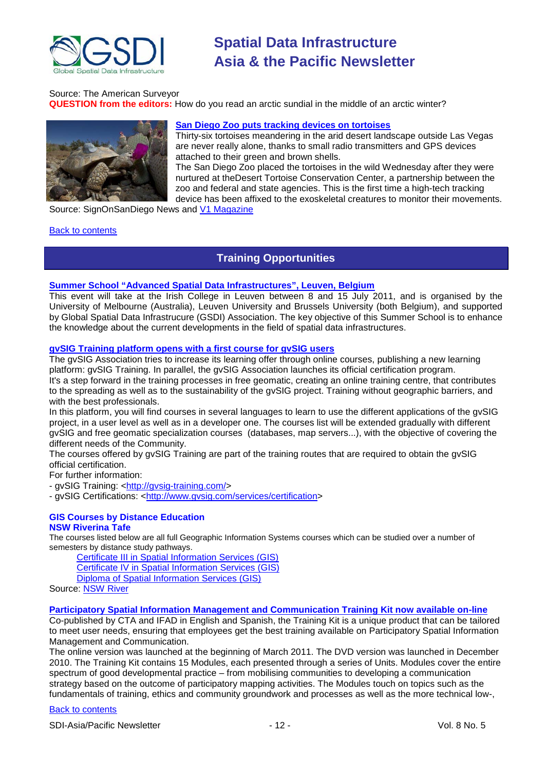

#### Source: The American Surveyor

**QUESTION from the editors:** How do you read an arctic sundial in the middle of an arctic winter?



#### **[San Diego Zoo puts tracking devices on tortoises](http://www.signonsandiego.com/news/2011/apr/30/san-diego-zoo-puts-tracking-devices-tortoises/)**

Thirty-six [tortoises](http://topics.signonsandiego.com/topics/Tortoise) meandering in the arid [desert](http://topics.signonsandiego.com/topics/Desert) landscape outside Las Vegas are never really alone, thanks to small [radio transmitters](http://topics.signonsandiego.com/topics/Transmitter) and [GPS](http://topics.signonsandiego.com/topics/Global_Positioning_System) devices attached to their green and brown shells.

The [San Diego Zoo](http://topics.signonsandiego.com/topics/San_Diego_Zoo) placed the tortoises in the wild Wednesday after they were nurtured at th[eDesert Tortoise](http://topics.signonsandiego.com/topics/Desert_Tortoise) Conservation Center, a partnership between the zoo and federal and state agencies. This is the first time a high-tech tracking device has been affixed to the exoskeletal creatures to monitor their movements.

Source: SignOnSanDiego News and [V1 Magazine](http://www.vector1media.com/news/headlines/20011-san-diego-zoo-puts-tracking-devices-on-tortoises.html)

#### <span id="page-11-0"></span>[Back to contents](#page-0-0)

### **Training Opportunities**

#### **[Summer School "Advanced Spatial Data Infrastructures", Leuven, Belgium](http://www.spatialist.be/201101-school/index.htm)**

This event will take at the Irish College in Leuven between 8 and 15 July 2011, and is organised by the University of Melbourne (Australia), Leuven University and Brussels University (both Belgium), and supported by Global Spatial Data Infrastrucure (GSDI) Association. The key objective of this Summer School is to enhance the knowledge about the current developments in the field of spatial data infrastructures.

#### **gvSIG Training platform opens with a first course for gvSIG users**

The gvSIG Association tries to increase its learning offer through online courses, publishing a new learning platform: gvSIG Training. In parallel, the gvSIG Association launches its official certification program. It's a step forward in the training processes in free geomatic, creating an online training centre, that contributes to the spreading as well as to the sustainability of the gvSIG project. Training without geographic barriers, and with the best professionals.

In this platform, you will find courses in several languages to learn to use the different applications of the gvSIG project, in a user level as well as in a developer one. The courses list will be extended gradually with different gvSIG and free geomatic specialization courses (databases, map servers...), with the objective of covering the different needs of the Community.

The courses offered by gvSIG Training are part of the training routes that are required to obtain the gvSIG official certification.

For further information:

- gvSIG Training: [<http://gvsig-training.com/>](http://gvsig-training.com/)

- gvSIG Certifications: [<http://www.gvsig.com/services/certification>](http://www.gvsig.com/services/certification)

### **GIS Courses by Distance Education**

#### **NSW Riverina Tafe**

The courses listed below are all full Geographic Information Systems courses which can be studied over a number of semesters by distance study pathways.

[Certificate III in Spatial Information Services \(GIS\)](http://www.rit.tafensw.edu.au/nec/nrme/giscourses#Cert III in Spatial Information Services (CPP30109))

[Certificate IV in Spatial Information Services \(GIS\)](http://www.rit.tafensw.edu.au/nec/nrme/giscourses#Cert IV in Spatial Information Services (CPP40209))

[Diploma of Spatial Information Services \(GIS\)](http://www.rit.tafensw.edu.au/nec/nrme/giscourses#Diploma of Spatial Information Services (CPP50207))

Sourc[e: NSW River](http://www.rit.tafensw.edu.au/nec/nrme/giscourses)

#### **[Participatory Spatial Information Management and Communication Training Kit now available on-line](http://www.cta.int/en/About-us/CTA-news/Participatory-Spatial-Information-Management-and-Communication-Training-Kit-now-available-on-line)**

Co-published by CTA and IFAD in English and Spanish, the Training Kit is a unique product that can be tailored to meet user needs, ensuring that employees get the best training available on Participatory Spatial Information Management and Communication.

The [online version](http://pgis-tk.cta.int/) was launched at the beginning of March 2011. The DVD version was launched in December 2010. The Training Kit contains 15 Modules, each presented through a series of Units. Modules cover the entire spectrum of good developmental practice – from mobilising communities to developing a communication strategy based on the outcome of participatory mapping activities. The Modules touch on topics such as the fundamentals of training, ethics and community groundwork and processes as well as the more technical low-,

#### [Back to contents](#page-0-0)

SDI-Asia/Pacific Newsletter  $\sim$  12 - 12 - Vol. 8 No. 5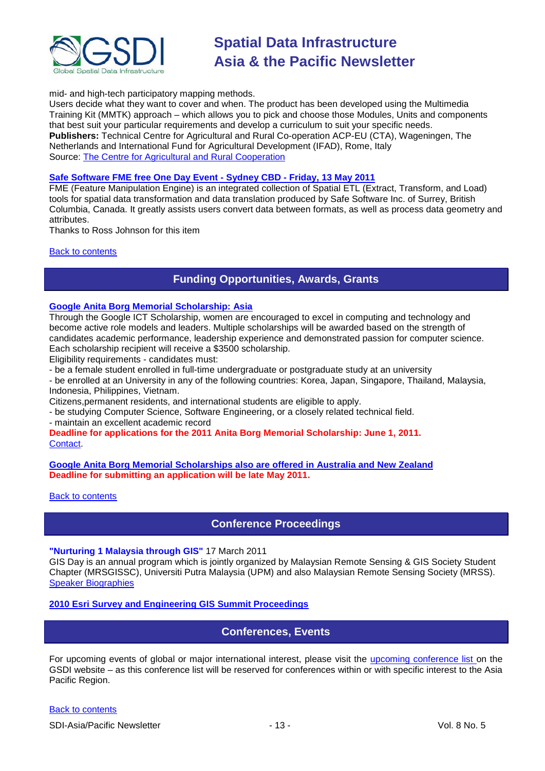

mid- and high-tech participatory mapping methods.

Users decide what they want to cover and when. The product has been developed using the Multimedia Training Kit (MMTK) approach – which allows you to pick and choose those Modules, Units and components that best suit your particular requirements and develop a curriculum to suit your specific needs. **Publishers:** Technical Centre for Agricultural and Rural Co-operation ACP-EU (CTA), Wageningen, The Netherlands and International Fund for Agricultural Development (IFAD), Rome, Italy Source: [The Centre for Agricultural and Rural Cooperation](http://www.cta.int/en/About-us/Who-we-are)

#### **[Safe Software FME free One Day Event -](http://www.lagenspatial.com.au/service/fme-world-tour-2011.html) Sydney CBD - Friday, 13 May 2011**

FME (Feature Manipulation Engine) is an integrated collection of Spatial ETL (Extract, Transform, and Load) tools for spatial data transformation and data translation produced by Safe Software Inc. of Surrey, British Columbia, Canada. It greatly assists users convert data between formats, as well as process data geometry and attributes.

Thanks to Ross Johnson for this item

#### <span id="page-12-0"></span>[Back to contents](#page-0-0)

### **Funding Opportunities, Awards, Grants**

### **[Google Anita Borg Memorial Scholarship: Asia](http://www.google.com/anitaborg/apac/)**

Through the Google ICT Scholarship, women are encouraged to excel in computing and technology and become active role models and leaders. Multiple scholarships will be awarded based on the strength of candidates academic performance, leadership experience and demonstrated passion for computer science. Each scholarship recipient will receive a \$3500 scholarship.

Eligibility requirements - candidates must:

- be a female student enrolled in full-time undergraduate or postgraduate study at an university

- be enrolled at an University in any of the following countries: Korea, Japan, Singapore, Thailand, Malaysia, Indonesia, Philippines, Vietnam.

Citizens,permanent residents, and international students are eligible to apply.

- be studying Computer Science, Software Engineering, or a closely related technical field.

- maintain an excellent academic record

**Deadline for applications for the 2011 Anita Borg Memorial Scholarship: June 1, 2011.** [Contact.](mailto:anitaborgscholars-asia@google.com)

**[Google Anita Borg Memorial Scholarships also are offered in Australia and New Zealand](http://www.google.com.au/intl/en/anitaborg/) Deadline for submitting an application will be late May 2011.**

<span id="page-12-1"></span>[Back to contents](#page-0-0)

**Conference Proceedings**

**"Nurturing 1 Malaysia through GIS"** 17 March 2011

GIS Day is an annual program which is jointly organized by Malaysian Remote Sensing & GIS Society Student Chapter (MRSGISSC), Universiti Putra Malaysia (UPM) and also Malaysian Remote Sensing Society (MRSS). [Speaker Biographies](https://sites.google.com/site/upmgisday2011/tentatives/speakers-biography)

<span id="page-12-2"></span>**[2010 Esri Survey and Engineering GIS Summit Proceedings](http://proceedings.esri.com/library/userconf/survey10/index.html)**

#### **Conferences, Events**

For upcoming events of global or major international interest, please visit the [upcoming conference list o](http://gsdi.org/events/upcnf.asp)n the GSDI website – as this conference list will be reserved for conferences within or with specific interest to the Asia Pacific Region.

[Back to contents](#page-0-0)

SDI-Asia/Pacific Newsletter  $\overline{\phantom{a}}$  - 13 -  $\overline{\phantom{a}}$  - Vol. 8 No. 5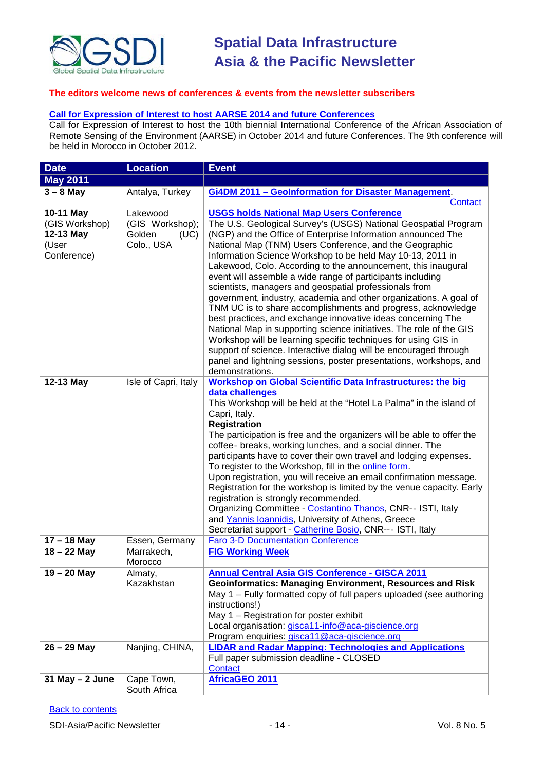

#### **The editors welcome news of conferences & events from the newsletter subscribers**

#### **[Call for Expression of Interest to host AARSE 2014 and future Conferences](http://lists.gsdi.org/pipermail/sdi-africa/2010-November/001135.html)**

Call for Expression of Interest to host the 10th biennial International Conference of the African Association of Remote Sensing of the Environment (AARSE) in October 2014 and future Conferences. The 9th conference will be held in Morocco in October 2012.

| <b>Date</b>                                                      | <b>Location</b>                                             | <b>Event</b>                                                                                                                                                                                                                                                                                                                                                                                                                                                                                                                                                                                                                                                                                                                                                                                                                                                                                                                                                                                                     |
|------------------------------------------------------------------|-------------------------------------------------------------|------------------------------------------------------------------------------------------------------------------------------------------------------------------------------------------------------------------------------------------------------------------------------------------------------------------------------------------------------------------------------------------------------------------------------------------------------------------------------------------------------------------------------------------------------------------------------------------------------------------------------------------------------------------------------------------------------------------------------------------------------------------------------------------------------------------------------------------------------------------------------------------------------------------------------------------------------------------------------------------------------------------|
| <b>May 2011</b>                                                  |                                                             |                                                                                                                                                                                                                                                                                                                                                                                                                                                                                                                                                                                                                                                                                                                                                                                                                                                                                                                                                                                                                  |
| $3 - 8$ May                                                      | Antalya, Turkey                                             | Gi4DM 2011 - Geolnformation for Disaster Management.                                                                                                                                                                                                                                                                                                                                                                                                                                                                                                                                                                                                                                                                                                                                                                                                                                                                                                                                                             |
|                                                                  |                                                             | Contact                                                                                                                                                                                                                                                                                                                                                                                                                                                                                                                                                                                                                                                                                                                                                                                                                                                                                                                                                                                                          |
| 10-11 May<br>(GIS Workshop)<br>12-13 May<br>(User<br>Conference) | Lakewood<br>(GIS Workshop);<br>Golden<br>(UC)<br>Colo., USA | <b>USGS holds National Map Users Conference</b><br>The U.S. Geological Survey's (USGS) National Geospatial Program<br>(NGP) and the Office of Enterprise Information announced The<br>National Map (TNM) Users Conference, and the Geographic<br>Information Science Workshop to be held May 10-13, 2011 in<br>Lakewood, Colo. According to the announcement, this inaugural<br>event will assemble a wide range of participants including<br>scientists, managers and geospatial professionals from<br>government, industry, academia and other organizations. A goal of<br>TNM UC is to share accomplishments and progress, acknowledge<br>best practices, and exchange innovative ideas concerning The<br>National Map in supporting science initiatives. The role of the GIS<br>Workshop will be learning specific techniques for using GIS in<br>support of science. Interactive dialog will be encouraged through<br>panel and lightning sessions, poster presentations, workshops, and<br>demonstrations. |
| 12-13 May                                                        | Isle of Capri, Italy                                        | <b>Workshop on Global Scientific Data Infrastructures: the big</b><br>data challenges<br>This Workshop will be held at the "Hotel La Palma" in the island of<br>Capri, Italy.<br><b>Registration</b><br>The participation is free and the organizers will be able to offer the<br>coffee- breaks, working lunches, and a social dinner. The<br>participants have to cover their own travel and lodging expenses.<br>To register to the Workshop, fill in the online form.<br>Upon registration, you will receive an email confirmation message.<br>Registration for the workshop is limited by the venue capacity. Early<br>registration is strongly recommended.<br>Organizing Committee - Costantino Thanos, CNR-- ISTI, Italy<br>and Yannis Ioannidis, University of Athens, Greece<br>Secretariat support - Catherine Bosio, CNR--- ISTI, Italy                                                                                                                                                              |
| $17 - 18$ May                                                    | Essen, Germany                                              | <b>Faro 3-D Documentation Conference</b>                                                                                                                                                                                                                                                                                                                                                                                                                                                                                                                                                                                                                                                                                                                                                                                                                                                                                                                                                                         |
| $18 - 22$ May                                                    | Marrakech,<br>Morocco                                       | <b>FIG Working Week</b>                                                                                                                                                                                                                                                                                                                                                                                                                                                                                                                                                                                                                                                                                                                                                                                                                                                                                                                                                                                          |
| 19 - 20 May                                                      | Almaty,<br>Kazakhstan                                       | <b>Annual Central Asia GIS Conference - GISCA 2011</b><br><b>Geoinformatics: Managing Environment, Resources and Risk</b><br>May 1 – Fully formatted copy of full papers uploaded (see authoring<br>instructions!)<br>May 1 - Registration for poster exhibit<br>Local organisation: gisca11-info@aca-giscience.org<br>Program enquiries: gisca11@aca-giscience.org                                                                                                                                                                                                                                                                                                                                                                                                                                                                                                                                                                                                                                              |
| $26 - 29$ May                                                    | Nanjing, CHINA,                                             | <b>LIDAR and Radar Mapping: Technologies and Applications</b><br>Full paper submission deadline - CLOSED<br>Contact                                                                                                                                                                                                                                                                                                                                                                                                                                                                                                                                                                                                                                                                                                                                                                                                                                                                                              |
| $31$ May $- 2$ June                                              | Cape Town,<br>South Africa                                  | <b>AfricaGEO 2011</b>                                                                                                                                                                                                                                                                                                                                                                                                                                                                                                                                                                                                                                                                                                                                                                                                                                                                                                                                                                                            |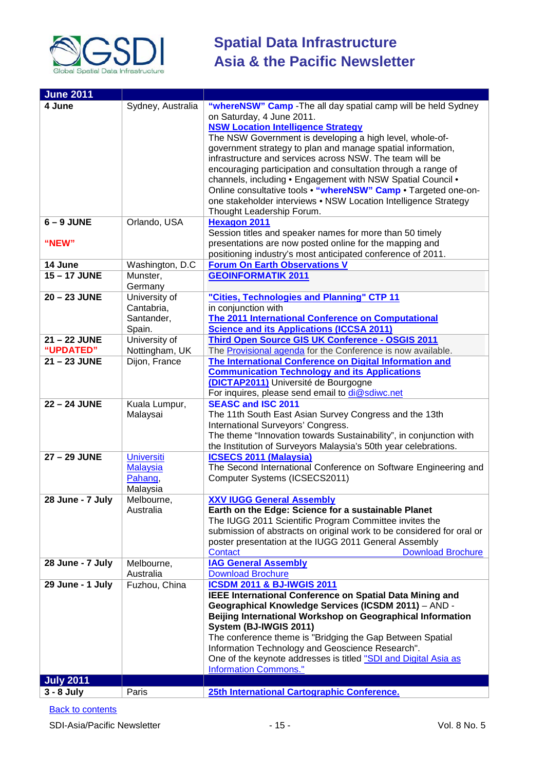

| <b>June 2011</b> |                      |                                                                                                        |
|------------------|----------------------|--------------------------------------------------------------------------------------------------------|
| 4 June           | Sydney, Australia    | "whereNSW" Camp - The all day spatial camp will be held Sydney                                         |
|                  |                      | on Saturday, 4 June 2011.                                                                              |
|                  |                      | <b>NSW Location Intelligence Strategy</b>                                                              |
|                  |                      | The NSW Government is developing a high level, whole-of-                                               |
|                  |                      | government strategy to plan and manage spatial information,                                            |
|                  |                      | infrastructure and services across NSW. The team will be                                               |
|                  |                      | encouraging participation and consultation through a range of                                          |
|                  |                      | channels, including . Engagement with NSW Spatial Council .                                            |
|                  |                      | Online consultative tools . "whereNSW" Camp . Targeted one-on-                                         |
|                  |                      | one stakeholder interviews • NSW Location Intelligence Strategy                                        |
|                  |                      | Thought Leadership Forum.                                                                              |
| $6 - 9$ JUNE     | Orlando, USA         | <b>Hexagon 2011</b>                                                                                    |
|                  |                      | Session titles and speaker names for more than 50 timely                                               |
| "NEW"            |                      | presentations are now posted online for the mapping and                                                |
|                  |                      | positioning industry's most anticipated conference of 2011.                                            |
| 14 June          | Washington, D.C      | <b>Forum On Earth Observations V</b>                                                                   |
| 15-17 JUNE       | Munster,             | <b>GEOINFORMATIK 2011</b>                                                                              |
|                  | Germany              |                                                                                                        |
| 20 - 23 JUNE     | University of        | "Cities, Technologies and Planning" CTP 11                                                             |
|                  | Cantabria,           | in conjunction with                                                                                    |
|                  | Santander,<br>Spain. | The 2011 International Conference on Computational<br><b>Science and its Applications (ICCSA 2011)</b> |
| 21-22 JUNE       | University of        | Third Open Source GIS UK Conference - OSGIS 2011                                                       |
| "UPDATED"        | Nottingham, UK       | The Provisional agenda for the Conference is now available.                                            |
| 21 - 23 JUNE     | Dijon, France        | The International Conference on Digital Information and                                                |
|                  |                      | <b>Communication Technology and its Applications</b>                                                   |
|                  |                      | (DICTAP2011) Université de Bourgogne                                                                   |
|                  |                      | For inquires, please send email to di@sdiwc.net                                                        |
| 22 - 24 JUNE     | Kuala Lumpur,        | <b>SEASC and ISC 2011</b>                                                                              |
|                  | Malaysai             | The 11th South East Asian Survey Congress and the 13th                                                 |
|                  |                      | International Surveyors' Congress.                                                                     |
|                  |                      | The theme "Innovation towards Sustainability", in conjunction with                                     |
|                  |                      | the Institution of Surveyors Malaysia's 50th year celebrations.                                        |
| 27 - 29 JUNE     | <b>Universiti</b>    | <b>ICSECS 2011 (Malaysia)</b>                                                                          |
|                  | <b>Malaysia</b>      | The Second International Conference on Software Engineering and                                        |
|                  | Pahang,              | Computer Systems (ICSECS2011)                                                                          |
|                  | Malaysia             |                                                                                                        |
| 28 June - 7 July | Melbourne.           | <b>XXV IUGG General Assembly</b>                                                                       |
|                  | Australia            | Earth on the Edge: Science for a sustainable Planet                                                    |
|                  |                      | The IUGG 2011 Scientific Program Committee invites the                                                 |
|                  |                      | submission of abstracts on original work to be considered for oral or                                  |
|                  |                      | poster presentation at the IUGG 2011 General Assembly<br><b>Contact</b><br><b>Download Brochure</b>    |
| 28 June - 7 July | Melbourne,           | <b>IAG General Assembly</b>                                                                            |
|                  | Australia            | <b>Download Brochure</b>                                                                               |
| 29 June - 1 July | Fuzhou, China        | <b>ICSDM 2011 &amp; BJ-IWGIS 2011</b>                                                                  |
|                  |                      | <b>IEEE International Conference on Spatial Data Mining and</b>                                        |
|                  |                      | Geographical Knowledge Services (ICSDM 2011) - AND -                                                   |
|                  |                      | Beijing International Workshop on Geographical Information                                             |
|                  |                      | System (BJ-IWGIS 2011)                                                                                 |
|                  |                      | The conference theme is "Bridging the Gap Between Spatial                                              |
|                  |                      | Information Technology and Geoscience Research".                                                       |
|                  |                      | One of the keynote addresses is titled "SDI and Digital Asia as                                        |
|                  |                      | <b>Information Commons."</b>                                                                           |
| <b>July 2011</b> |                      |                                                                                                        |
| $3 - 8$ July     | Paris                | 25th International Cartographic Conference.                                                            |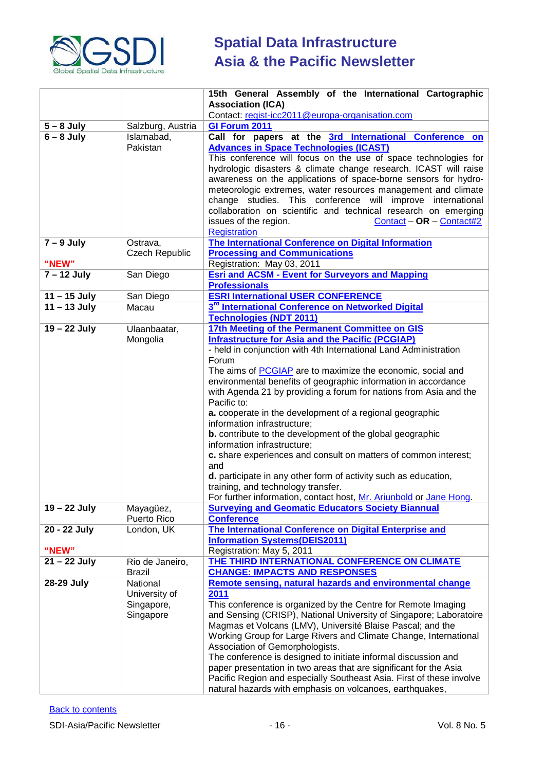

|                              |                                  | 15th General Assembly of the International Cartographic                                                                                   |
|------------------------------|----------------------------------|-------------------------------------------------------------------------------------------------------------------------------------------|
|                              |                                  | <b>Association (ICA)</b>                                                                                                                  |
|                              | Salzburg, Austria                | Contact: regist-icc2011@europa-organisation.com<br>GI Forum 2011                                                                          |
| $5 - 8$ July<br>$6 - 8$ July | Islamabad,                       | Call for papers at the 3rd International Conference on                                                                                    |
|                              | Pakistan                         | <b>Advances in Space Technologies (ICAST)</b>                                                                                             |
|                              |                                  | This conference will focus on the use of space technologies for                                                                           |
|                              |                                  | hydrologic disasters & climate change research. ICAST will raise                                                                          |
|                              |                                  | awareness on the applications of space-borne sensors for hydro-                                                                           |
|                              |                                  | meteorologic extremes, water resources management and climate                                                                             |
|                              |                                  | change studies. This conference will improve international                                                                                |
|                              |                                  | collaboration on scientific and technical research on emerging                                                                            |
|                              |                                  | issues of the region.<br>$Content - OR - Contact$                                                                                         |
|                              |                                  | <b>Registration</b>                                                                                                                       |
| $7 - 9$ July                 | Ostrava,                         | The International Conference on Digital Information                                                                                       |
| "NEW"                        | Czech Republic                   | <b>Processing and Communications</b><br>Registration: May 03, 2011                                                                        |
| $7 - 12$ July                | San Diego                        | <b>Esri and ACSM - Event for Surveyors and Mapping</b>                                                                                    |
|                              |                                  | <b>Professionals</b>                                                                                                                      |
| $11 - 15$ July               | San Diego                        | <b>ESRI International USER CONFERENCE</b>                                                                                                 |
| $11 - 13$ July               | Macau                            | 3 <sup>rd</sup> International Conference on Networked Digital                                                                             |
|                              |                                  | <b>Technologies (NDT 2011)</b>                                                                                                            |
| 19 - 22 July                 | Ulaanbaatar,                     | 17th Meeting of the Permanent Committee on GIS                                                                                            |
|                              | Mongolia                         | <b>Infrastructure for Asia and the Pacific (PCGIAP)</b>                                                                                   |
|                              |                                  | - held in conjunction with 4th International Land Administration                                                                          |
|                              |                                  | Forum                                                                                                                                     |
|                              |                                  | The aims of PCGIAP are to maximize the economic, social and<br>environmental benefits of geographic information in accordance             |
|                              |                                  | with Agenda 21 by providing a forum for nations from Asia and the                                                                         |
|                              |                                  | Pacific to:                                                                                                                               |
|                              |                                  | a. cooperate in the development of a regional geographic                                                                                  |
|                              |                                  | information infrastructure;                                                                                                               |
|                              |                                  | <b>b.</b> contribute to the development of the global geographic                                                                          |
|                              |                                  | information infrastructure;                                                                                                               |
|                              |                                  | c. share experiences and consult on matters of common interest;<br>and                                                                    |
|                              |                                  | d. participate in any other form of activity such as education,                                                                           |
|                              |                                  | training, and technology transfer.                                                                                                        |
|                              |                                  | For further information, contact host, Mr. Ariunbold or Jane Hong.                                                                        |
| 19 - 22 July                 | Mayagüez,                        | <b>Surveying and Geomatic Educators Society Biannual</b>                                                                                  |
|                              | Puerto Rico                      | <b>Conference</b>                                                                                                                         |
| 20 - 22 July                 | London, UK                       | The International Conference on Digital Enterprise and                                                                                    |
|                              |                                  | <b>Information Systems(DEIS2011)</b>                                                                                                      |
| "NEW"                        |                                  | Registration: May 5, 2011                                                                                                                 |
| $21 - 22$ July               | Rio de Janeiro,<br><b>Brazil</b> | THE THIRD INTERNATIONAL CONFERENCE ON CLIMATE<br><b>CHANGE: IMPACTS AND RESPONSES</b>                                                     |
| 28-29 July                   | National                         | Remote sensing, natural hazards and environmental change                                                                                  |
|                              | University of                    | 2011                                                                                                                                      |
|                              | Singapore,                       | This conference is organized by the Centre for Remote Imaging                                                                             |
|                              | Singapore                        | and Sensing (CRISP), National University of Singapore; Laboratoire                                                                        |
|                              |                                  | Magmas et Volcans (LMV), Université Blaise Pascal; and the                                                                                |
|                              |                                  | Working Group for Large Rivers and Climate Change, International                                                                          |
|                              |                                  | Association of Gemorphologists.                                                                                                           |
|                              |                                  | The conference is designed to initiate informal discussion and                                                                            |
|                              |                                  | paper presentation in two areas that are significant for the Asia<br>Pacific Region and especially Southeast Asia. First of these involve |
|                              |                                  | natural hazards with emphasis on volcanoes, earthquakes,                                                                                  |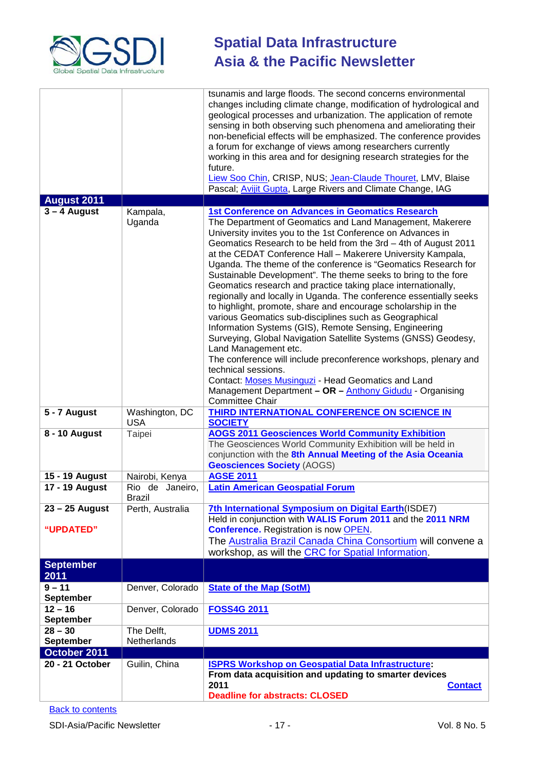

|                               |                              | tsunamis and large floods. The second concerns environmental<br>changes including climate change, modification of hydrological and<br>geological processes and urbanization. The application of remote<br>sensing in both observing such phenomena and ameliorating their<br>non-beneficial effects will be emphasized. The conference provides<br>a forum for exchange of views among researchers currently<br>working in this area and for designing research strategies for the<br>future.<br>Liew Soo Chin, CRISP, NUS; Jean-Claude Thouret, LMV, Blaise<br>Pascal; Avijit Gupta, Large Rivers and Climate Change, IAG                                                                                                                                                                                                                                                                                                                                                                                                                                                                                             |
|-------------------------------|------------------------------|------------------------------------------------------------------------------------------------------------------------------------------------------------------------------------------------------------------------------------------------------------------------------------------------------------------------------------------------------------------------------------------------------------------------------------------------------------------------------------------------------------------------------------------------------------------------------------------------------------------------------------------------------------------------------------------------------------------------------------------------------------------------------------------------------------------------------------------------------------------------------------------------------------------------------------------------------------------------------------------------------------------------------------------------------------------------------------------------------------------------|
| <b>August 2011</b>            |                              |                                                                                                                                                                                                                                                                                                                                                                                                                                                                                                                                                                                                                                                                                                                                                                                                                                                                                                                                                                                                                                                                                                                        |
| $3 - 4$ August                | Kampala,<br>Uganda           | <b>1st Conference on Advances in Geomatics Research</b><br>The Department of Geomatics and Land Management, Makerere<br>University invites you to the 1st Conference on Advances in<br>Geomatics Research to be held from the 3rd - 4th of August 2011<br>at the CEDAT Conference Hall - Makerere University Kampala,<br>Uganda. The theme of the conference is "Geomatics Research for<br>Sustainable Development". The theme seeks to bring to the fore<br>Geomatics research and practice taking place internationally,<br>regionally and locally in Uganda. The conference essentially seeks<br>to highlight, promote, share and encourage scholarship in the<br>various Geomatics sub-disciplines such as Geographical<br>Information Systems (GIS), Remote Sensing, Engineering<br>Surveying, Global Navigation Satellite Systems (GNSS) Geodesy,<br>Land Management etc.<br>The conference will include preconference workshops, plenary and<br>technical sessions.<br>Contact: Moses Musinguzi - Head Geomatics and Land<br>Management Department - OR - Anthony Gidudu - Organising<br><b>Committee Chair</b> |
| 5 - 7 August                  | Washington, DC<br><b>USA</b> | THIRD INTERNATIONAL CONFERENCE ON SCIENCE IN<br><b>SOCIETY</b>                                                                                                                                                                                                                                                                                                                                                                                                                                                                                                                                                                                                                                                                                                                                                                                                                                                                                                                                                                                                                                                         |
| 8 - 10 August                 | Taipei                       | <b>AOGS 2011 Geosciences World Community Exhibition</b><br>The Geosciences World Community Exhibition will be held in<br>conjunction with the 8th Annual Meeting of the Asia Oceania<br><b>Geosciences Society (AOGS)</b>                                                                                                                                                                                                                                                                                                                                                                                                                                                                                                                                                                                                                                                                                                                                                                                                                                                                                              |
| 15 - 19 August                | Nairobi, Kenya               | <b>AGSE 2011</b>                                                                                                                                                                                                                                                                                                                                                                                                                                                                                                                                                                                                                                                                                                                                                                                                                                                                                                                                                                                                                                                                                                       |
| 17 - 19 August                | Rio de Janeiro,<br>Brazil    | <b>Latin American Geospatial Forum</b>                                                                                                                                                                                                                                                                                                                                                                                                                                                                                                                                                                                                                                                                                                                                                                                                                                                                                                                                                                                                                                                                                 |
| $23 - 25$ August<br>"UPDATED" | Perth, Australia             | 7th International Symposium on Digital Earth(ISDE7)<br>Held in conjunction with WALIS Forum 2011 and the 2011 NRM<br><b>Conference.</b> Registration is now <b>OPEN</b> .                                                                                                                                                                                                                                                                                                                                                                                                                                                                                                                                                                                                                                                                                                                                                                                                                                                                                                                                              |
|                               |                              | The Australia Brazil Canada China Consortium will convene a<br>workshop, as will the CRC for Spatial Information.                                                                                                                                                                                                                                                                                                                                                                                                                                                                                                                                                                                                                                                                                                                                                                                                                                                                                                                                                                                                      |
| <b>September</b><br>2011      |                              |                                                                                                                                                                                                                                                                                                                                                                                                                                                                                                                                                                                                                                                                                                                                                                                                                                                                                                                                                                                                                                                                                                                        |
| $9 - 11$<br><b>September</b>  | Denver, Colorado             | <b>State of the Map (SotM)</b>                                                                                                                                                                                                                                                                                                                                                                                                                                                                                                                                                                                                                                                                                                                                                                                                                                                                                                                                                                                                                                                                                         |
| $12 - 16$<br><b>September</b> | Denver, Colorado             | <b>FOSS4G 2011</b>                                                                                                                                                                                                                                                                                                                                                                                                                                                                                                                                                                                                                                                                                                                                                                                                                                                                                                                                                                                                                                                                                                     |
| $28 - 30$<br>September        | The Delft,<br>Netherlands    | <b>UDMS 2011</b>                                                                                                                                                                                                                                                                                                                                                                                                                                                                                                                                                                                                                                                                                                                                                                                                                                                                                                                                                                                                                                                                                                       |
| October 2011                  |                              |                                                                                                                                                                                                                                                                                                                                                                                                                                                                                                                                                                                                                                                                                                                                                                                                                                                                                                                                                                                                                                                                                                                        |
| 20 - 21 October               | Guilin, China                | <b>ISPRS Workshop on Geospatial Data Infrastructure:</b><br>From data acquisition and updating to smarter devices<br>2011<br><b>Contact</b><br><b>Deadline for abstracts: CLOSED</b>                                                                                                                                                                                                                                                                                                                                                                                                                                                                                                                                                                                                                                                                                                                                                                                                                                                                                                                                   |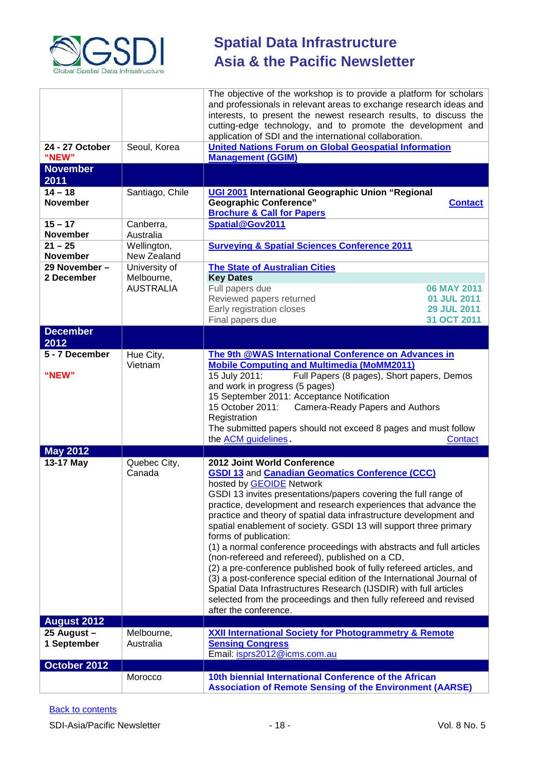

| 24 - 27 October              | Seoul, Korea                                    | The objective of the workshop is to provide a platform for scholars<br>and professionals in relevant areas to exchange research ideas and<br>interests, to present the newest research results, to discuss the<br>cutting-edge technology, and to promote the development and<br>application of SDI and the international collaboration.<br><b>United Nations Forum on Global Geospatial Information</b>                                                                                                                                                                                                                                                                                                                                                                                                                                                                         |
|------------------------------|-------------------------------------------------|----------------------------------------------------------------------------------------------------------------------------------------------------------------------------------------------------------------------------------------------------------------------------------------------------------------------------------------------------------------------------------------------------------------------------------------------------------------------------------------------------------------------------------------------------------------------------------------------------------------------------------------------------------------------------------------------------------------------------------------------------------------------------------------------------------------------------------------------------------------------------------|
| "NEW"<br><b>November</b>     |                                                 | <b>Management (GGIM)</b>                                                                                                                                                                                                                                                                                                                                                                                                                                                                                                                                                                                                                                                                                                                                                                                                                                                         |
| 2011                         |                                                 |                                                                                                                                                                                                                                                                                                                                                                                                                                                                                                                                                                                                                                                                                                                                                                                                                                                                                  |
| $14 - 18$<br><b>November</b> | Santiago, Chile                                 | UGI 2001 International Geographic Union "Regional<br><b>Geographic Conference"</b><br><b>Contact</b><br><b>Brochure &amp; Call for Papers</b>                                                                                                                                                                                                                                                                                                                                                                                                                                                                                                                                                                                                                                                                                                                                    |
| $15 - 17$<br><b>November</b> | Canberra,<br>Australia                          | Spatial@Gov2011                                                                                                                                                                                                                                                                                                                                                                                                                                                                                                                                                                                                                                                                                                                                                                                                                                                                  |
| $21 - 25$<br><b>November</b> | Wellington,<br>New Zealand                      | <b>Surveying &amp; Spatial Sciences Conference 2011</b>                                                                                                                                                                                                                                                                                                                                                                                                                                                                                                                                                                                                                                                                                                                                                                                                                          |
| 29 November -<br>2 December  | University of<br>Melbourne,<br><b>AUSTRALIA</b> | <b>The State of Australian Cities</b><br><b>Key Dates</b><br>Full papers due<br>06 MAY 2011<br>Reviewed papers returned<br>01 JUL 2011<br>Early registration closes<br>29 JUL 2011<br>31 OCT 2011<br>Final papers due                                                                                                                                                                                                                                                                                                                                                                                                                                                                                                                                                                                                                                                            |
| <b>December</b><br>2012      |                                                 |                                                                                                                                                                                                                                                                                                                                                                                                                                                                                                                                                                                                                                                                                                                                                                                                                                                                                  |
| 5 - 7 December<br>"NEW"      | Hue City,<br>Vietnam                            | The 9th @WAS International Conference on Advances in<br><b>Mobile Computing and Multimedia (MoMM2011)</b><br>15 July 2011:<br>Full Papers (8 pages), Short papers, Demos<br>and work in progress (5 pages)<br>15 September 2011: Acceptance Notification<br>15 October 2011:<br>Camera-Ready Papers and Authors<br>Registration<br>The submitted papers should not exceed 8 pages and must follow<br>the <b>ACM</b> guidelines.<br>Contact                                                                                                                                                                                                                                                                                                                                                                                                                                       |
| <b>May 2012</b>              |                                                 |                                                                                                                                                                                                                                                                                                                                                                                                                                                                                                                                                                                                                                                                                                                                                                                                                                                                                  |
| 13-17 May                    | Quebec City,<br>Canada                          | 2012 Joint World Conference<br><b>GSDI 13 and Canadian Geomatics Conference (CCC)</b><br>hosted by <b>GEOIDE</b> Network<br>GSDI 13 invites presentations/papers covering the full range of<br>practice, development and research experiences that advance the<br>practice and theory of spatial data infrastructure development and<br>spatial enablement of society. GSDI 13 will support three primary<br>forms of publication:<br>(1) a normal conference proceedings with abstracts and full articles<br>(non-refereed and refereed), published on a CD,<br>(2) a pre-conference published book of fully refereed articles, and<br>(3) a post-conference special edition of the International Journal of<br>Spatial Data Infrastructures Research (IJSDIR) with full articles<br>selected from the proceedings and then fully refereed and revised<br>after the conference. |
| <b>August 2012</b>           |                                                 |                                                                                                                                                                                                                                                                                                                                                                                                                                                                                                                                                                                                                                                                                                                                                                                                                                                                                  |
| 25 August -<br>1 September   | Melbourne,<br>Australia                         | <b>XXII International Society for Photogrammetry &amp; Remote</b><br><b>Sensing Congress</b><br>Email: isprs2012@icms.com.au                                                                                                                                                                                                                                                                                                                                                                                                                                                                                                                                                                                                                                                                                                                                                     |
| October 2012                 |                                                 |                                                                                                                                                                                                                                                                                                                                                                                                                                                                                                                                                                                                                                                                                                                                                                                                                                                                                  |
|                              | Morocco                                         | 10th biennial International Conference of the African<br><b>Association of Remote Sensing of the Environment (AARSE)</b>                                                                                                                                                                                                                                                                                                                                                                                                                                                                                                                                                                                                                                                                                                                                                         |